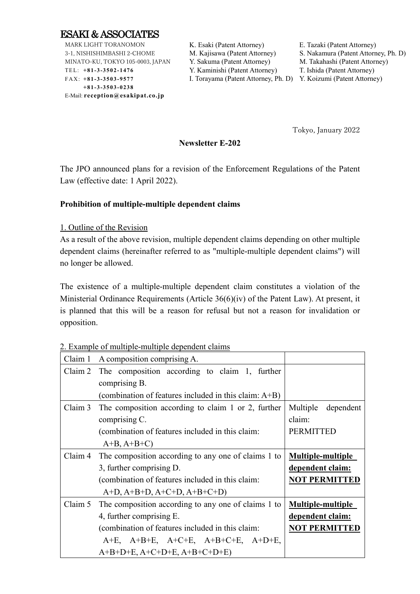

MARK LIGHT TORANOMON 3-1, NISHISHIMBASHI 2-CHOME MINATO-KU, TOKYO 105-0003, JAPAN TEL: **+8 1 -3 -3 5 0 2 -1 4 76** FAX: **+8 1 -3 -3 5 0 3 -9 5 77 +8 1 -3 -3 5 0 3 -0 2 38** E-Mail: **reception@esakipat.co.jp**

K. Esaki (Patent Attorney) E. Tazaki (Patent Attorney)

M. Kajisawa (Patent Attorney) S. Nakamura (Patent Attorney, Ph. D) Y. Sakuma (Patent Attorney) M. Takahashi (Patent Attorney)

Y. Kaminishi (Patent Attorney) T. Ishida (Patent Attorney)

I. Torayama (Patent Attorney, Ph. D) Y. Koizumi (Patent Attorney)

Tokyo, January 2022

## **Newsletter E-202**

The JPO announced plans for a revision of the Enforcement Regulations of the Patent Law (effective date: 1 April 2022).

### **Prohibition of multiple-multiple dependent claims**

### 1. Outline of the Revision

As a result of the above revision, multiple dependent claims depending on other multiple dependent claims (hereinafter referred to as "multiple-multiple dependent claims") will no longer be allowed.

The existence of a multiple-multiple dependent claim constitutes a violation of the Ministerial Ordinance Requirements (Article 36(6)(iv) of the Patent Law). At present, it is planned that this will be a reason for refusal but not a reason for invalidation or opposition.

2. Example of multiple-multiple dependent claims

| Claim 1 | A composition comprising A.                              |                          |
|---------|----------------------------------------------------------|--------------------------|
| Claim 2 | The composition according to claim 1, further            |                          |
|         | comprising B.                                            |                          |
|         | (combination of features included in this claim: $A+B$ ) |                          |
| Claim 3 | The composition according to claim 1 or 2, further       | Multiple<br>dependent    |
|         | comprising C.                                            | claim:                   |
|         | (combination of features included in this claim:         | <b>PERMITTED</b>         |
|         | $A+B, A+B+C$                                             |                          |
| Claim 4 | The composition according to any one of claims 1 to      | <b>Multiple-multiple</b> |
|         | 3, further comprising D.                                 | dependent claim:         |
|         | (combination of features included in this claim:         | <b>NOT PERMITTED</b>     |
|         | $A+D$ , $A+B+D$ , $A+C+D$ , $A+B+C+D$                    |                          |
| Claim 5 | The composition according to any one of claims 1 to      | <b>Multiple-multiple</b> |
|         | 4, further comprising E.                                 | dependent claim:         |
|         | (combination of features included in this claim:         | <b>NOT PERMITTED</b>     |
|         | $A+E$ , $A+B+E$ , $A+C+E$ , $A+B+C+E$ , $A+D+E$ ,        |                          |
|         | $A+B+D+E$ , $A+C+D+E$ , $A+B+C+D+E$ )                    |                          |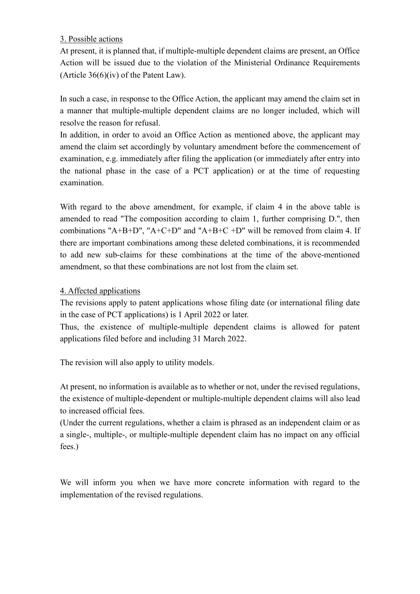# 3. Possible actions

At present, it is planned that, if multiple-multiple dependent claims are present, an Office Action will be issued due to the violation of the Ministerial Ordinance Requirements (Article  $36(6)(iv)$  of the Patent Law).

In such a case, in response to the Office Action, the applicant may amend the claim set in a manner that multiple-multiple dependent claims are no longer included, which will resolve the reason for refusal.

In addition, in order to avoid an Office Action as mentioned above, the applicant may amend the claim set accordingly by voluntary amendment before the commencement of examination, e.g. immediately after filing the application (or immediately after entry into the national phase in the case of a PCT application) or at the time of requesting examination.

With regard to the above amendment, for example, if claim 4 in the above table is amended to read "The composition according to claim 1, further comprising D.", then combinations "A+B+D", "A+C+D" and "A+B+C +D" will be removed from claim 4. If there are important combinations among these deleted combinations, it is recommended to add new sub-claims for these combinations at the time of the above-mentioned amendment, so that these combinations are not lost from the claim set.

## 4. Affected applications

The revisions apply to patent applications whose filing date (or international filing date in the case of PCT applications) is 1 April 2022 or later.

Thus, the existence of multiple-multiple dependent claims is allowed for patent applications filed before and including 31 March 2022.

The revision will also apply to utility models.

At present, no information is available as to whether or not, under the revised regulations, the existence of multiple-dependent or multiple-multiple dependent claims will also lead to increased official fees.

(Under the current regulations, whether a claim is phrased as an independent claim or as a single-, multiple-, or multiple-multiple dependent claim has no impact on any official fees.)

We will inform you when we have more concrete information with regard to the implementation of the revised regulations.